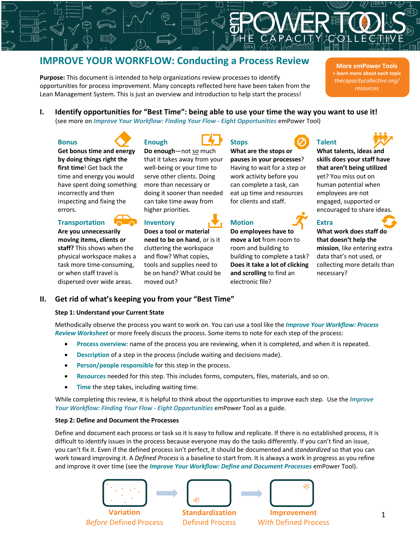# **IMPROVE YOUR WORKFLOW: Conducting a Process Review**

**Purpose:** This document is intended to help organizations review processes to identify opportunities for process improvement. Many concepts reflected here have been taken from the Lean Management System. This is just an overview and introduction to help start the process!

**More emPower Tools + learn more about each topic** *thecapacitycollective.org/ resources*

**I. Identify opportunities for "Best Time": being able to use your time the way you want to use it!** (see more on *Improve Your Workflow: Finding Your Flow - Eight Opportunities* emPower Tool)

#### **Bonus**



**Get bonus time and energy by doing things right the first time**! Get back the time and energy you would have spent doing something incorrectly and then inspecting and fixing the errors.

### **Transportation**

**Are you unnecessarily moving items, clients or staff?** This shows when the physical workspace makes a task more time-consuming, or when staff travel is dispersed over wide areas.



## **Enough**

**Do enough**—not so much that it takes away from your well-being or your time to serve other clients. Doing more than necessary or doing it sooner than needed can take time away from higher priorities.

#### **Inventory**

moved out?

**Does a tool or material need to be on hand**, or is it cluttering the workspace and flow? What copies, tools and supplies need to

be on hand? What could be



**Stops**

**Do employees have to**  room and building to

**and scrolling** to find an

electronic file?

**What are the stops or pauses in your processes**? Having to wait for a step or work activity before you can complete a task, can eat up time and resources for clients and staff.

**move a lot** from room to building to complete a task? **Does it take a lot of clicking** 





**What talents, ideas and skills does your staff have that aren't being utilized** yet? You miss out on human potential when employees are not

engaged, supported or encouraged to share ideas.

## **Extra**

**What work does staff do that doesn't help the mission**, like entering extra data that's not used, or collecting more details than necessary?

## **II. Get rid of what's keeping you from your "Best Time"**

#### **Step 1: Understand your Current State**

Methodically observe the process you want to work on. You can use a tool like the *Improve Your Workflow: Process Review Worksheet* or more freely discuss the process. Some items to note for each step of the process:

- **Process overview**: name of the process you are reviewing, when it is completed, and when it is repeated.
- **Description** of a step in the process (include waiting and decisions made).
- Person/people responsible for this step in the process.
- **Resources** needed for this step. This includes forms, computers, files, materials, and so on.
- **Time** the step takes, including waiting time.

While completing this review, it is helpful to think about the opportunities to improve each step. Use the *Improve Your Workflow: Finding Your Flow - Eight Opportunities* emPower Tool as a guide.

#### **Step 2: Define and Document the Processes**

Define and document each process or task so it is easy to follow and replicate. If there is no established process, it is difficult to identify issues in the process because everyone may do the tasks differently. If you can't find an issue, you can't fix it. Even if the defined process isn't perfect, it should be documented and *standardized* so that you can work toward improving it. A *Defined Process* is a baseline to start from. It is always a work in progress as you refine and improve it over time (see the *Improve Your Workflow: Define and Document Processes* emPower Tool).



**Variation** *Before* Defined Process



Defined Process



**Improvement** *With* Defined Process